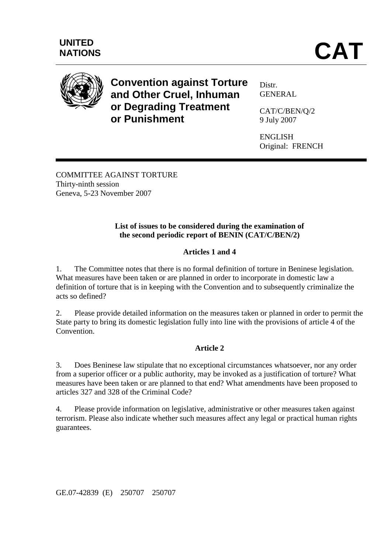

**Convention against Torture and Other Cruel, Inhuman or Degrading Treatment or Punishment** 

Distr. GENERAL

CAT/C/BEN/Q/2 9 July 2007

ENGLISH Original: FRENCH

COMMITTEE AGAINST TORTURE Thirty-ninth session Geneva, 5-23 November 2007

# **List of issues to be considered during the examination of the second periodic report of BENIN (CAT/C/BEN/2)**

# **Articles 1 and 4**

1. The Committee notes that there is no formal definition of torture in Beninese legislation. What measures have been taken or are planned in order to incorporate in domestic law a definition of torture that is in keeping with the Convention and to subsequently criminalize the acts so defined?

2. Please provide detailed information on the measures taken or planned in order to permit the State party to bring its domestic legislation fully into line with the provisions of article 4 of the Convention.

# **Article 2**

3. Does Beninese law stipulate that no exceptional circumstances whatsoever, nor any order from a superior officer or a public authority, may be invoked as a justification of torture? What measures have been taken or are planned to that end? What amendments have been proposed to articles 327 and 328 of the Criminal Code?

4. Please provide information on legislative, administrative or other measures taken against terrorism. Please also indicate whether such measures affect any legal or practical human rights guarantees.

GE.07-42839 (E) 250707 250707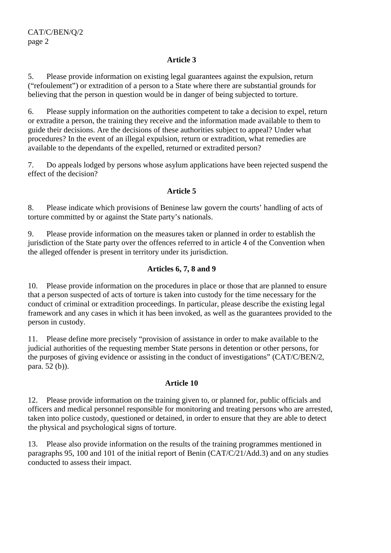### **Article 3**

5. Please provide information on existing legal guarantees against the expulsion, return ("refoulement") or extradition of a person to a State where there are substantial grounds for believing that the person in question would be in danger of being subjected to torture.

6. Please supply information on the authorities competent to take a decision to expel, return or extradite a person, the training they receive and the information made available to them to guide their decisions. Are the decisions of these authorities subject to appeal? Under what procedures? In the event of an illegal expulsion, return or extradition, what remedies are available to the dependants of the expelled, returned or extradited person?

7. Do appeals lodged by persons whose asylum applications have been rejected suspend the effect of the decision?

### **Article 5**

8. Please indicate which provisions of Beninese law govern the courts' handling of acts of torture committed by or against the State party's nationals.

9. Please provide information on the measures taken or planned in order to establish the jurisdiction of the State party over the offences referred to in article 4 of the Convention when the alleged offender is present in territory under its jurisdiction.

### **Articles 6, 7, 8 and 9**

10. Please provide information on the procedures in place or those that are planned to ensure that a person suspected of acts of torture is taken into custody for the time necessary for the conduct of criminal or extradition proceedings. In particular, please describe the existing legal framework and any cases in which it has been invoked, as well as the guarantees provided to the person in custody.

11. Please define more precisely "provision of assistance in order to make available to the judicial authorities of the requesting member State persons in detention or other persons, for the purposes of giving evidence or assisting in the conduct of investigations" (CAT/C/BEN/2, para. 52 (b)).

#### **Article 10**

12. Please provide information on the training given to, or planned for, public officials and officers and medical personnel responsible for monitoring and treating persons who are arrested, taken into police custody, questioned or detained, in order to ensure that they are able to detect the physical and psychological signs of torture.

13. Please also provide information on the results of the training programmes mentioned in paragraphs 95, 100 and 101 of the initial report of Benin (CAT/C/21/Add.3) and on any studies conducted to assess their impact.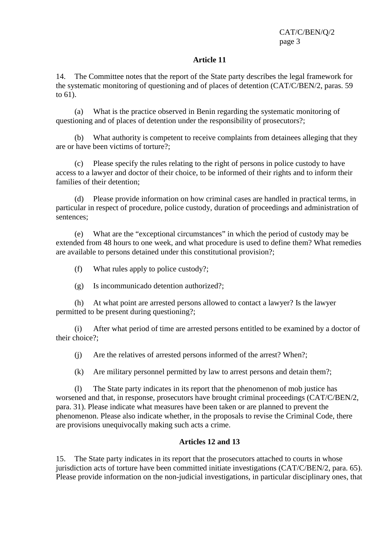CAT/C/BEN/Q/2 page 3

#### **Article 11**

14. The Committee notes that the report of the State party describes the legal framework for the systematic monitoring of questioning and of places of detention (CAT/C/BEN/2, paras. 59 to 61).

 (a) What is the practice observed in Benin regarding the systematic monitoring of questioning and of places of detention under the responsibility of prosecutors?:

 (b) What authority is competent to receive complaints from detainees alleging that they are or have been victims of torture?;

 (c) Please specify the rules relating to the right of persons in police custody to have access to a lawyer and doctor of their choice, to be informed of their rights and to inform their families of their detention;

 (d) Please provide information on how criminal cases are handled in practical terms, in particular in respect of procedure, police custody, duration of proceedings and administration of sentences;

 (e) What are the "exceptional circumstances" in which the period of custody may be extended from 48 hours to one week, and what procedure is used to define them? What remedies are available to persons detained under this constitutional provision?;

(f) What rules apply to police custody?;

(g) Is incommunicado detention authorized?;

 (h) At what point are arrested persons allowed to contact a lawyer? Is the lawyer permitted to be present during questioning?;

(i) After what period of time are arrested persons entitled to be examined by a doctor of their choice?;

(j) Are the relatives of arrested persons informed of the arrest? When?;

(k) Are military personnel permitted by law to arrest persons and detain them?;

 (l) The State party indicates in its report that the phenomenon of mob justice has worsened and that, in response, prosecutors have brought criminal proceedings (CAT/C/BEN/2, para. 31). Please indicate what measures have been taken or are planned to prevent the phenomenon. Please also indicate whether, in the proposals to revise the Criminal Code, there are provisions unequivocally making such acts a crime.

## **Articles 12 and 13**

15. The State party indicates in its report that the prosecutors attached to courts in whose jurisdiction acts of torture have been committed initiate investigations (CAT/C/BEN/2, para. 65). Please provide information on the non-judicial investigations, in particular disciplinary ones, that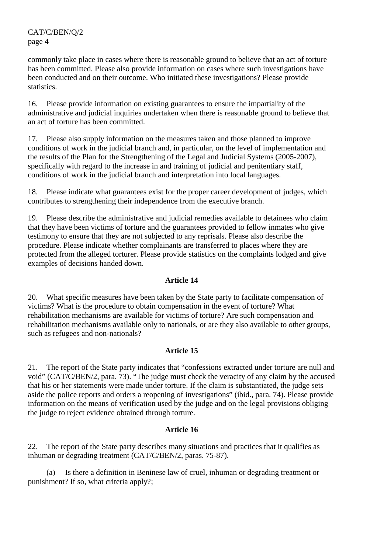CAT/C/BEN/Q/2 page 4

commonly take place in cases where there is reasonable ground to believe that an act of torture has been committed. Please also provide information on cases where such investigations have been conducted and on their outcome. Who initiated these investigations? Please provide statistics.

16. Please provide information on existing guarantees to ensure the impartiality of the administrative and judicial inquiries undertaken when there is reasonable ground to believe that an act of torture has been committed.

17. Please also supply information on the measures taken and those planned to improve conditions of work in the judicial branch and, in particular, on the level of implementation and the results of the Plan for the Strengthening of the Legal and Judicial Systems (2005-2007), specifically with regard to the increase in and training of judicial and penitentiary staff, conditions of work in the judicial branch and interpretation into local languages.

18. Please indicate what guarantees exist for the proper career development of judges, which contributes to strengthening their independence from the executive branch.

19. Please describe the administrative and judicial remedies available to detainees who claim that they have been victims of torture and the guarantees provided to fellow inmates who give testimony to ensure that they are not subjected to any reprisals. Please also describe the procedure. Please indicate whether complainants are transferred to places where they are protected from the alleged torturer. Please provide statistics on the complaints lodged and give examples of decisions handed down.

### **Article 14**

20. What specific measures have been taken by the State party to facilitate compensation of victims? What is the procedure to obtain compensation in the event of torture? What rehabilitation mechanisms are available for victims of torture? Are such compensation and rehabilitation mechanisms available only to nationals, or are they also available to other groups, such as refugees and non-nationals?

#### **Article 15**

21. The report of the State party indicates that "confessions extracted under torture are null and void" (CAT/C/BEN/2, para. 73). "The judge must check the veracity of any claim by the accused that his or her statements were made under torture. If the claim is substantiated, the judge sets aside the police reports and orders a reopening of investigations" (ibid., para. 74). Please provide information on the means of verification used by the judge and on the legal provisions obliging the judge to reject evidence obtained through torture.

## **Article 16**

22. The report of the State party describes many situations and practices that it qualifies as inhuman or degrading treatment (CAT/C/BEN/2, paras. 75-87).

 (a) Is there a definition in Beninese law of cruel, inhuman or degrading treatment or punishment? If so, what criteria apply?;